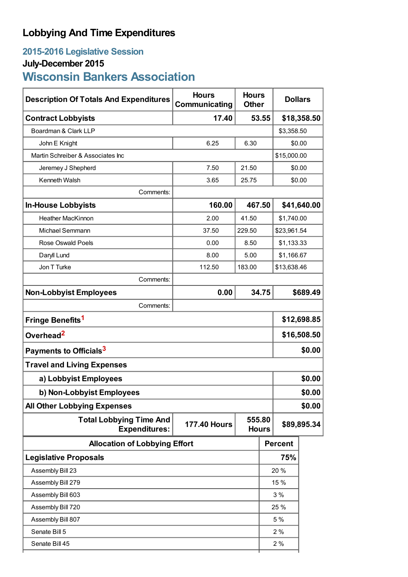## **Lobbying And Time Expenditures**

### **2015-2016 Legislative Session**

# **July-December 2015**

# **Wisconsin Bankers Association**

| <b>Description Of Totals And Expenditures</b>          | <b>Hours</b><br>Communicating | <b>Hours</b><br><b>Other</b> |        |                | <b>Dollars</b> |  |
|--------------------------------------------------------|-------------------------------|------------------------------|--------|----------------|----------------|--|
| <b>Contract Lobbyists</b>                              | 17.40                         | 53.55                        |        | \$18,358.50    |                |  |
| Boardman & Clark LLP                                   |                               |                              |        | \$3,358.50     |                |  |
| John E Knight                                          | 6.25                          | 6.30                         |        | \$0.00         |                |  |
| Martin Schreiber & Associates Inc                      |                               |                              |        | \$15,000.00    |                |  |
| Jeremey J Shepherd                                     | 7.50                          | 21.50                        |        | \$0.00         |                |  |
| Kenneth Walsh                                          | 3.65                          | 25.75                        | \$0.00 |                |                |  |
| Comments:                                              |                               |                              |        |                |                |  |
| <b>In-House Lobbyists</b>                              | 160.00                        |                              | 467.50 |                | \$41,640.00    |  |
| <b>Heather MacKinnon</b>                               | 2.00                          | 41.50                        |        | \$1,740.00     |                |  |
| Michael Semmann                                        | 37.50                         | 229.50                       |        | \$23,961.54    |                |  |
| <b>Rose Oswald Poels</b>                               | 0.00                          | 8.50                         |        | \$1,133.33     |                |  |
| Daryll Lund                                            | 8.00                          | 5.00                         |        | \$1,166.67     |                |  |
| Jon T Turke                                            | 112.50                        | 183.00                       |        | \$13,638.46    |                |  |
| Comments:                                              |                               |                              |        |                |                |  |
| <b>Non-Lobbyist Employees</b>                          | 0.00                          |                              | 34.75  |                | \$689.49       |  |
| Comments:                                              |                               |                              |        |                |                |  |
| Fringe Benefits <sup>1</sup>                           |                               |                              |        | \$12,698.85    |                |  |
| Overhead <sup>2</sup>                                  |                               |                              |        | \$16,508.50    |                |  |
| Payments to Officials <sup>3</sup>                     |                               |                              |        | \$0.00         |                |  |
| <b>Travel and Living Expenses</b>                      |                               |                              |        |                |                |  |
| a) Lobbyist Employees                                  |                               |                              |        | \$0.00         |                |  |
| b) Non-Lobbyist Employees                              |                               |                              |        | \$0.00         |                |  |
| <b>All Other Lobbying Expenses</b>                     |                               |                              |        |                | \$0.00         |  |
| <b>Total Lobbying Time And</b><br><b>Expenditures:</b> | <b>177.40 Hours</b>           | 555.80<br><b>Hours</b>       |        | \$89,895.34    |                |  |
| <b>Allocation of Lobbying Effort</b>                   |                               |                              |        | <b>Percent</b> |                |  |
| <b>Legislative Proposals</b>                           |                               |                              |        | 75%            |                |  |
| Assembly Bill 23                                       |                               |                              |        | 20%            |                |  |
| Assembly Bill 279                                      |                               |                              |        | 15 %           |                |  |
| Assembly Bill 603                                      |                               |                              |        | 3%             |                |  |
| Assembly Bill 720                                      |                               |                              |        | 25 %           |                |  |
| Assembly Bill 807                                      |                               |                              |        | 5 %            |                |  |
| Senate Bill 5                                          |                               |                              |        | 2%             |                |  |
| Senate Bill 45                                         |                               |                              |        | 2%             |                |  |